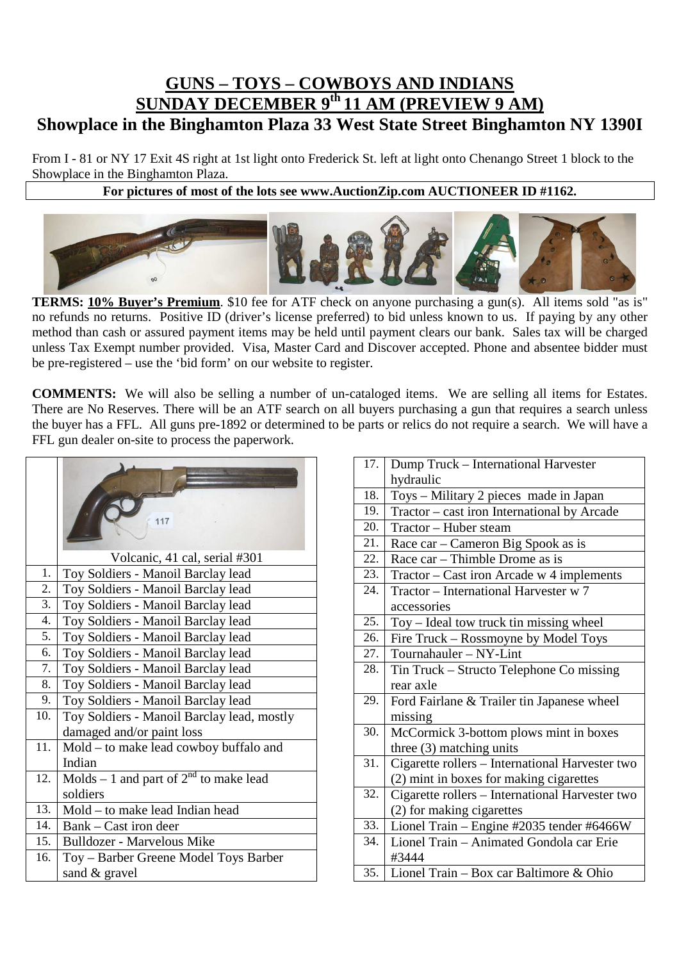## **GUNS – TOYS – COWBOYS AND INDIANS SUNDAY DECEMBER 9th 11 AM (PREVIEW 9 AM) Showplace in the Binghamton Plaza 33 West State Street Binghamton NY 1390I**

From I - 81 or NY 17 Exit 4S right at 1st light onto Frederick St. left at light onto Chenango Street 1 block to the Showplace in the Binghamton Plaza.

## **For pictures of most of the lots see www.AuctionZip.com AUCTIONEER ID #1162.**



**TERMS: 10% Buyer's Premium**. \$10 fee for ATF check on anyone purchasing a gun(s). All items sold "as is" no refunds no returns. Positive ID (driver's license preferred) to bid unless known to us. If paying by any other method than cash or assured payment items may be held until payment clears our bank. Sales tax will be charged unless Tax Exempt number provided. Visa, Master Card and Discover accepted. Phone and absentee bidder must be pre-registered – use the 'bid form' on our website to register.

**COMMENTS:** We will also be selling a number of un-cataloged items. We are selling all items for Estates. There are No Reserves. There will be an ATF search on all buyers purchasing a gun that requires a search unless the buyer has a FFL. All guns pre-1892 or determined to be parts or relics do not require a search. We will have a FFL gun dealer on-site to process the paperwork.

|                  | 117                                         |
|------------------|---------------------------------------------|
| 1.               | Volcanic, 41 cal, serial #301               |
|                  | Toy Soldiers - Manoil Barclay lead          |
| 2.               | Toy Soldiers - Manoil Barclay lead          |
| 3.               | Toy Soldiers - Manoil Barclay lead          |
| $\overline{4}$ . | Toy Soldiers - Manoil Barclay lead          |
| 5.               | Toy Soldiers - Manoil Barclay lead          |
| 6.               | Toy Soldiers - Manoil Barclay lead          |
| 7.               | Toy Soldiers - Manoil Barclay lead          |
| 8.               | Toy Soldiers - Manoil Barclay lead          |
| 9.               | Toy Soldiers - Manoil Barclay lead          |
| 10.              | Toy Soldiers - Manoil Barclay lead, mostly  |
|                  | damaged and/or paint loss                   |
| 11.              | Mold – to make lead cowboy buffalo and      |
|                  | Indian                                      |
| 12.              | Molds – 1 and part of $2^{nd}$ to make lead |
|                  | soldiers                                    |
| 13.              | Mold – to make lead Indian head             |
| 14.              | Bank – Cast iron deer                       |
| 15.              | <b>Bulldozer - Marvelous Mike</b>           |
| 16.              | Toy - Barber Greene Model Toys Barber       |
|                  | sand & gravel                               |
|                  |                                             |

| 17. | Dump Truck - International Harvester            |
|-----|-------------------------------------------------|
|     | hydraulic                                       |
| 18. | Toys - Military 2 pieces made in Japan          |
| 19. | Tractor – cast iron International by Arcade     |
| 20. | Tractor - Huber steam                           |
| 21. | Race car – Cameron Big Spook as is              |
| 22. | Race car – Thimble Drome as is                  |
| 23. | Tractor – Cast iron Arcade w 4 implements       |
| 24. | Tractor - International Harvester w 7           |
|     | accessories                                     |
| 25. | Toy – Ideal tow truck tin missing wheel         |
| 26. | Fire Truck - Rossmoyne by Model Toys            |
| 27. | Tournahauler - NY-Lint                          |
| 28. | Tin Truck – Structo Telephone Co missing        |
|     | rear axle                                       |
| 29. | Ford Fairlane & Trailer tin Japanese wheel      |
|     | missing                                         |
| 30. | McCormick 3-bottom plows mint in boxes          |
|     | three $(3)$ matching units                      |
| 31. | Cigarette rollers - International Harvester two |
|     | (2) mint in boxes for making cigarettes         |
| 32. | Cigarette rollers – International Harvester two |
|     | (2) for making cigarettes                       |
| 33. | Lionel Train - Engine #2035 tender #6466W       |
| 34. | Lionel Train – Animated Gondola car Erie        |
|     | #3444                                           |
| 35. | Lionel Train - Box car Baltimore & Ohio         |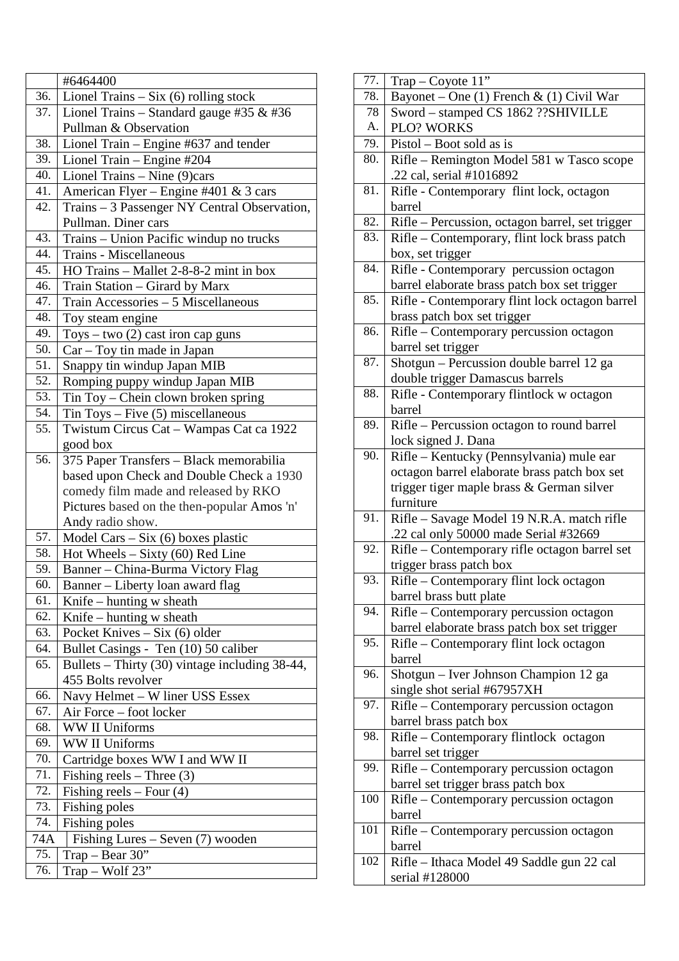|     | #6464400                                       |
|-----|------------------------------------------------|
| 36. | Lionel Trains $-$ Six (6) rolling stock        |
| 37. | Lionel Trains - Standard gauge $\#35 \& #36$   |
|     | Pullman & Observation                          |
| 38. | Lionel Train – Engine #637 and tender          |
| 39. | Lionel Train - Engine #204                     |
| 40. | Lionel Trains - Nine (9)cars                   |
| 41. | American Flyer - Engine #401 & 3 cars          |
| 42. | Trains - 3 Passenger NY Central Observation,   |
|     | Pullman. Diner cars                            |
| 43. | Trains - Union Pacific windup no trucks        |
| 44. | Trains - Miscellaneous                         |
| 45. | HO Trains - Mallet 2-8-8-2 mint in box         |
| 46. | Train Station - Girard by Marx                 |
| 47. | Train Accessories - 5 Miscellaneous            |
| 48. | Toy steam engine                               |
| 49. | Toys – two $(2)$ cast iron cap guns            |
| 50. | Car - Toy tin made in Japan                    |
| 51. | Snappy tin windup Japan MIB                    |
| 52. | Romping puppy windup Japan MIB                 |
| 53. | Tin Toy – Chein clown broken spring            |
| 54. | Tin Toys - Five (5) miscellaneous              |
| 55. | Twistum Circus Cat - Wampas Cat ca 1922        |
|     | good box                                       |
| 56. | 375 Paper Transfers - Black memorabilia        |
|     | based upon Check and Double Check a 1930       |
|     | comedy film made and released by RKO           |
|     | Pictures based on the then-popular Amos 'n'    |
|     | Andy radio show.                               |
| 57. | Model Cars - Six (6) boxes plastic             |
| 58. | Hot Wheels $-$ Sixty (60) Red Line             |
| 59. | Banner - China-Burma Victory Flag              |
| 60. | Banner - Liberty loan award flag               |
| 61. | Knife – hunting $w$ sheath                     |
| 62. | Knife – hunting $w$ sheath                     |
| 63. | Pocket Knives - Six (6) older                  |
| 64. | Bullet Casings - Ten (10) 50 caliber           |
| 65. | Bullets – Thirty (30) vintage including 38-44, |
|     | 455 Bolts revolver                             |
| 66. | Navy Helmet - W liner USS Essex                |
| 67. | Air Force – foot locker                        |
| 68. | <b>WW II Uniforms</b>                          |
| 69. | <b>WW II Uniforms</b>                          |
| 70. | Cartridge boxes WW I and WW II                 |
| 71. | Fishing reels $-$ Three (3)                    |
| 72. | Fishing reels $-$ Four (4)                     |
| 73. | Fishing poles                                  |
| 74. | Fishing poles                                  |
| 74A | Fishing Lures – Seven $(7)$ wooden             |
| 75. | $Trap - Bear 30"$                              |
| 76. | Trap - Wolf 23"                                |

| 77. | $Trap-Coyote 11"$                               |
|-----|-------------------------------------------------|
| 78. | Bayonet – One (1) French & (1) Civil War        |
| 78  | Sword - stamped CS 1862 ?? SHIVILLE             |
| A.  | PLO? WORKS                                      |
| 79. | Pistol – Boot sold as is                        |
| 80. | Rifle - Remington Model 581 w Tasco scope       |
|     | .22 cal, serial #1016892                        |
| 81. | Rifle - Contemporary flint lock, octagon        |
|     | barrel                                          |
| 82. | Rifle - Percussion, octagon barrel, set trigger |
| 83. | Rifle – Contemporary, flint lock brass patch    |
|     | box, set trigger                                |
| 84. | Rifle - Contemporary percussion octagon         |
|     | barrel elaborate brass patch box set trigger    |
| 85. | Rifle - Contemporary flint lock octagon barrel  |
|     | brass patch box set trigger                     |
| 86. | Rifle - Contemporary percussion octagon         |
|     | barrel set trigger                              |
| 87. | Shotgun - Percussion double barrel 12 ga        |
|     | double trigger Damascus barrels                 |
| 88. | Rifle - Contemporary flintlock w octagon        |
|     | barrel                                          |
| 89. | Rifle - Percussion octagon to round barrel      |
|     | lock signed J. Dana                             |
| 90. | Rifle - Kentucky (Pennsylvania) mule ear        |
|     | octagon barrel elaborate brass patch box set    |
|     | trigger tiger maple brass & German silver       |
|     | furniture                                       |
| 91. | Rifle - Savage Model 19 N.R.A. match rifle      |
|     | .22 cal only 50000 made Serial #32669           |
| 92. | Rifle – Contemporary rifle octagon barrel set   |
|     | trigger brass patch box                         |
| 93. | Rifle - Contemporary flint lock octagon         |
|     | barrel brass butt plate                         |
| 94. | Rifle – Contemporary percussion octagon         |
|     | barrel elaborate brass patch box set trigger    |
| 95. | Rifle – Contemporary flint lock octagon         |
|     | barrel                                          |
| 96. | Shotgun - Iver Johnson Champion 12 ga           |
|     | single shot serial #67957XH                     |
| 97. | Rifle – Contemporary percussion octagon         |
|     | barrel brass patch box                          |
| 98. | Rifle - Contemporary flintlock octagon          |
|     | barrel set trigger                              |
| 99. | Rifle – Contemporary percussion octagon         |
|     | barrel set trigger brass patch box              |
| 100 | Rifle - Contemporary percussion octagon         |
|     | barrel                                          |
| 101 | Rifle - Contemporary percussion octagon         |
|     | barrel                                          |
| 102 | Rifle - Ithaca Model 49 Saddle gun 22 cal       |
|     | serial #128000                                  |
|     |                                                 |